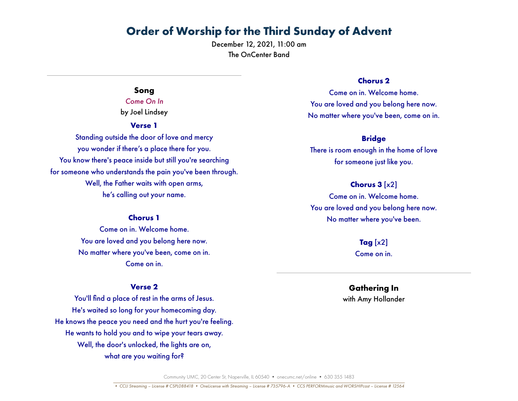December 12, 2021, 11:00 am The OnCenter Band

# **Song**

*Come On In* by Joel Lindsey

#### **Verse 1**

Standing outside the door of love and mercy you wonder if there's a place there for you. You know there's peace inside but still you're searching for someone who understands the pain you've been through. Well, the Father waits with open arms, he's calling out your name.

### **Chorus 1**

Come on in. Welcome home. You are loved and you belong here now. No matter where you've been, come on in. Come on in.

### **Verse 2**

You'll find a place of rest in the arms of Jesus. He's waited so long for your homecoming day. He knows the peace you need and the hurt you're feeling. He wants to hold you and to wipe your tears away. Well, the door's unlocked, the lights are on, what are you waiting for?

#### **Chorus 2**

Come on in. Welcome home. You are loved and you belong here now. No matter where you've been, come on in.

## **Bridge**

There is room enough in the home of love for someone just like you.

## **Chorus 3** [x2]

Come on in. Welcome home. You are loved and you belong here now. No matter where you've been.

> **Tag** [x2] Come on in.

**Gathering In** with Amy Hollander

Community UMC, 20 Center St, Naperville, IL 60540 • onecumc.net/online • 630 355 1483

*<sup>•</sup> CCLI Streaming – License # CSPL088418 • OneLicense with Streaming – License # 735796-A • CCS PERFORMmusic and WORSHIPcast – License # 12564*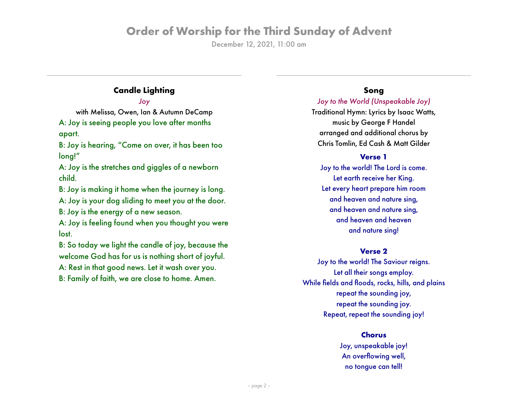December 12, 2021, 11:00 am

# **Candle Lighting**

*Joy*

with Melissa, Owen, Ian & Autumn DeCamp A: Joy is seeing people you love after months apart.

B: Joy is hearing, "Come on over, it has been too long!"

A: Joy is the stretches and giggles of a newborn child.

B: Joy is making it home when the journey is long. A: Joy is your dog sliding to meet you at the door. B: Joy is the energy of a new season.

A: Joy is feeling found when you thought you were lost.

B: So today we light the candle of joy, because the welcome God has for us is nothing short of joyful. A: Rest in that good news. Let it wash over you.

B: Family of faith, we are close to home. Amen.

# **Song**

*Joy to the World (Unspeakable Joy)*

Traditional Hymn: Lyrics by Isaac Watts, music by George F Handel arranged and additional chorus by Chris Tomlin, Ed Cash & Matt Gilder

# **Verse 1**

Joy to the world! The Lord is come. Let earth receive her King. Let every heart prepare him room and heaven and nature sing, and heaven and nature sing, and heaven and heaven and nature sing!

# **Verse 2**

Joy to the world! The Saviour reigns. Let all their songs employ. While fields and floods, rocks, hills, and plains repeat the sounding joy, repeat the sounding joy. Repeat, repeat the sounding joy!

# **Chorus**

Joy, unspeakable joy! An overflowing well, no tongue can tell!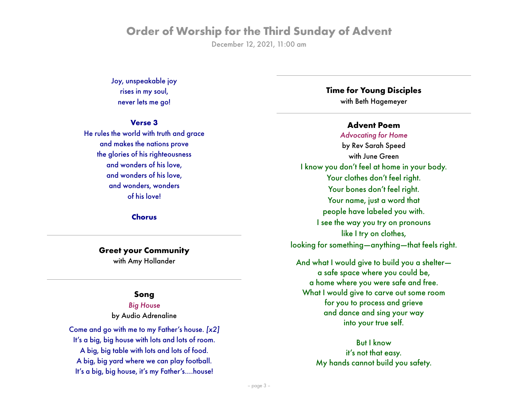December 12, 2021, 11:00 am

Joy, unspeakable joy rises in my soul, never lets me go!

#### **Verse 3**

He rules the world with truth and grace and makes the nations prove the glories of his righteousness and wonders of his love, and wonders of his love, and wonders, wonders of his love!

#### **Chorus**

#### **Greet your Community**

with Amy Hollander

## **Song**

# *Big House*  by Audio Adrenaline

Come and go with me to my Father's house. *[x2]* It's a big, big house with lots and lots of room. A big, big table with lots and lots of food. A big, big yard where we can play football. It's a big, big house, it's my Father's….house!

**Time for Young Disciples**

with Beth Hagemeyer

## **Advent Poem** *Advocating for Home*

by Rev Sarah Speed with June Green I know you don't feel at home in your body. Your clothes don't feel right. Your bones don't feel right. Your name, just a word that people have labeled you with. I see the way you try on pronouns like I try on clothes, looking for something—anything—that feels right.

And what I would give to build you a shelter a safe space where you could be, a home where you were safe and free. What I would give to carve out some room for you to process and grieve and dance and sing your way into your true self.

> But I know it's not that easy. My hands cannot build you safety.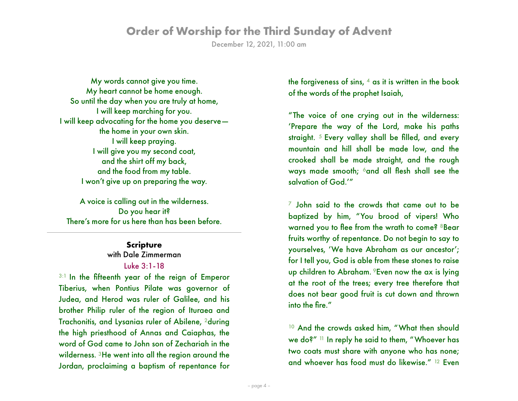December 12, 2021, 11:00 am

My words cannot give you time. My heart cannot be home enough. So until the day when you are truly at home, I will keep marching for you. I will keep advocating for the home you deserve the home in your own skin. I will keep praying. I will give you my second coat, and the shirt off my back, and the food from my table. I won't give up on preparing the way.

A voice is calling out in the wilderness. Do you hear it? There's more for us here than has been before.

# **Scripture** with Dale Zimmerman

Luke 3:1-18

3:1 In the fifteenth year of the reign of Emperor Tiberius, when Pontius Pilate was governor of Judea, and Herod was ruler of Galilee, and his brother Philip ruler of the region of Ituraea and Trachonitis, and Lysanias ruler of Abilene, 2during the high priesthood of Annas and Caiaphas, the word of God came to John son of Zechariah in the wilderness. 3He went into all the region around the Jordan, proclaiming a baptism of repentance for

the forgiveness of sins,  $4$  as it is written in the book of the words of the prophet Isaiah,

"The voice of one crying out in the wilderness: 'Prepare the way of the Lord, make his paths straight. <sup>5</sup> Every valley shall be filled, and every mountain and hill shall be made low, and the crooked shall be made straight, and the rough ways made smooth; 6and all flesh shall see the salvation of God.'"

 $7$  John said to the crowds that came out to be baptized by him, "You brood of vipers! Who warned you to flee from the wrath to come? 8Bear fruits worthy of repentance. Do not begin to say to yourselves, 'We have Abraham as our ancestor'; for I tell you, God is able from these stones to raise up children to Abraham. <sup>9</sup>Even now the ax is lying at the root of the trees; every tree therefore that does not bear good fruit is cut down and thrown into the fire."

<sup>10</sup> And the crowds asked him, "What then should we do?" <sup>11</sup> In reply he said to them, "Whoever has two coats must share with anyone who has none; and whoever has food must do likewise." <sup>12</sup> Even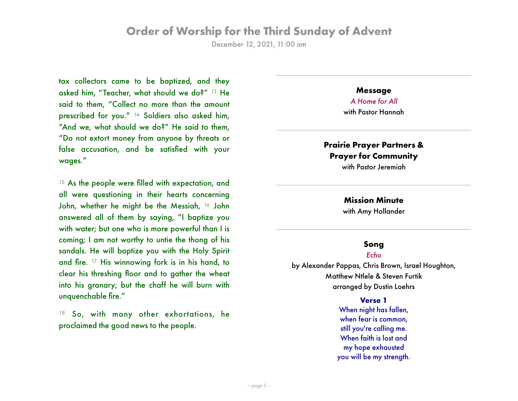December 12, 2021, 11:00 am

tax collectors came to be baptized, and they asked him, "Teacher, what should we do?" <sup>13</sup> He said to them, "Collect no more than the amount prescribed for you." <sup>14</sup> Soldiers also asked him, "And we, what should we do?" He said to them, "Do not extort money from anyone by threats or false accusation, and be satisfied with your wages."

<sup>15</sup> As the people were filled with expectation, and all were questioning in their hearts concerning John, whether he might be the Messiah, <sup>16</sup> John answered all of them by saying, "I baptize you with water; but one who is more powerful than I is coming; I am not worthy to untie the thong of his sandals. He will baptize you with the Holy Spirit and fire.  $17$  His winnowing fork is in his hand, to clear his threshing floor and to gather the wheat into his granary; but the chaff he will burn with unquenchable fire."

<sup>18</sup> So, with many other exhortations, he proclaimed the good news to the people.

## **Message**

*A Home for All* with Pastor Hannah

# **Prairie Prayer Partners & Prayer for Community**

with Pastor Jeremiah

### **Mission Minute**

with Amy Hollander

## **Song**

## *Echo*

by Alexander Pappas, Chris Brown, Israel Houghton, Matthew Ntlele & Steven Furtik arranged by Dustin Loehrs

## **Verse 1**

When night has fallen, when fear is common, still you're calling me. When faith is lost and my hope exhausted you will be my strength.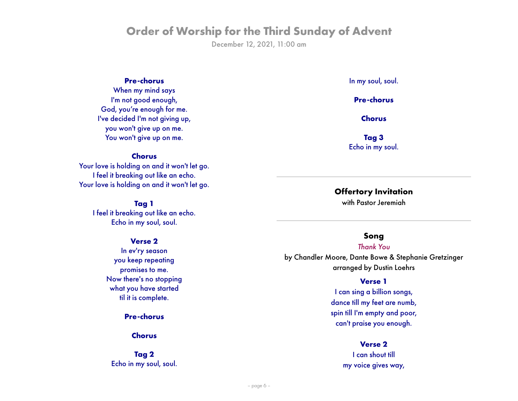December 12, 2021, 11:00 am

## **Pre-chorus**

When my mind says I'm not good enough, God, you're enough for me. I've decided I'm not giving up, you won't give up on me. You won't give up on me.

### **Chorus**

Your love is holding on and it won't let go. I feel it breaking out like an echo. Your love is holding on and it won't let go.

**Tag 1** I feel it breaking out like an echo. Echo in my soul, soul.

### **Verse 2**

In ev'ry season you keep repeating promises to me. Now there's no stopping what you have started til it is complete.

#### **Pre-chorus**

#### **Chorus**

**Tag 2** Echo in my soul, soul. In my soul, soul.

### **Pre-chorus**

**Chorus**

**Tag 3** Echo in my soul.

### **Offertory Invitation**

with Pastor Jeremiah

## **Song**

#### *Thank You*

by Chandler Moore, Dante Bowe & Stephanie Gretzinger arranged by Dustin Loehrs

#### **Verse 1**

I can sing a billion songs, dance till my feet are numb, spin till I'm empty and poor, can't praise you enough.

#### **Verse 2**

I can shout till my voice gives way,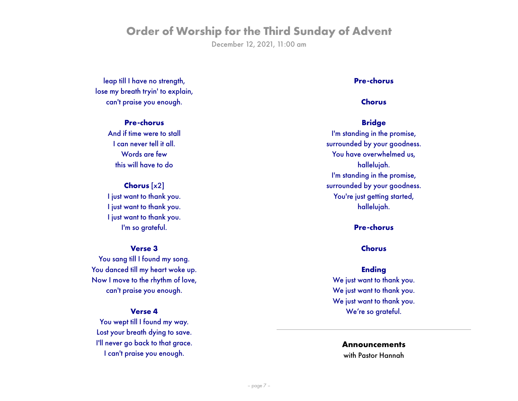December 12, 2021, 11:00 am

leap till I have no strength, lose my breath tryin' to explain, can't praise you enough.

> **Pre-chorus** And if time were to stall I can never tell it all. Words are few this will have to do

**Chorus** [x2] I just want to thank you. I just want to thank you. I just want to thank you. I'm so grateful.

## **Verse 3**

You sang till I found my song. You danced till my heart woke up. Now I move to the rhythm of love, can't praise you enough.

## **Verse 4**

You wept till I found my way. Lost your breath dying to save. I'll never go back to that grace. I can't praise you enough.

### **Pre-chorus**

**Chorus**

# **Bridge**

I'm standing in the promise, surrounded by your goodness. You have overwhelmed us, hallelujah. I'm standing in the promise, surrounded by your goodness. You're just getting started, hallelujah.

## **Pre-chorus**

#### **Chorus**

#### **Ending**

We just want to thank you. We just want to thank you. We just want to thank you. We're so grateful.

#### **Announcements**

with Pastor Hannah